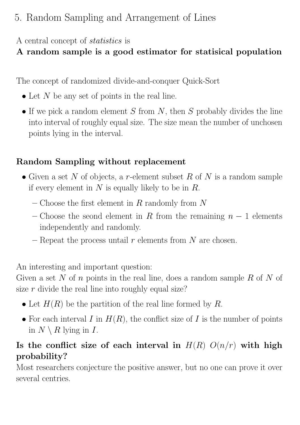# 5. Random Sampling and Arrangement of Lines

### A central concept of statistics is

# A random sample is a good estimator for statisical population

The concept of randomized divide-and-conquer Quick-Sort

- Let  $N$  be any set of points in the real line.
- If we pick a random element S from N, then S probably divides the line into interval of roughly equal size. The size mean the number of unchosen points lying in the interval.

## Random Sampling without replacement

- Given a set N of objects, a r-element subset R of N is a random sample if every element in  $N$  is equally likely to be in  $R$ .
	- Choose the first element in R randomly from N
	- Choose the seond element in R from the remaining  $n-1$  elements independently and randomly.
	- Repeat the process untail r elements from N are chosen.

An interesting and important question:

Given a set N of n points in the real line, does a random sample R of N of size  $r$  divide the real line into roughly equal size?

- Let  $H(R)$  be the partition of the real line formed by R.
- For each interval I in  $H(R)$ , the conflict size of I is the number of points in  $N \setminus R$  lying in  $I$ .

## Is the conflict size of each interval in  $H(R)$   $O(n/r)$  with high probability?

Most researchers conjecture the positive answer, but no one can prove it over several centries.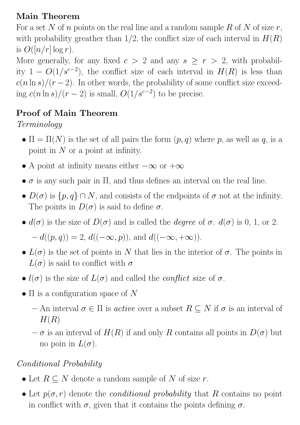### Main Theorem

For a set N of n points on the real line and a random sample R of N of size  $r$ , with probability greather than  $1/2$ , the conflict size of each interval in  $H(R)$ is  $O([n/r] \log r)$ .

More generally, for any fixed  $c > 2$  and any  $s \ge r > 2$ , with probability  $1 - O(1/s^{c-2})$ , the conflict size of each interval in  $H(R)$  is less than  $c(n \ln s)/(r-2)$ . In other words, the probability of some conflict size exceeding  $c(n \ln s)/(r-2)$  is small,  $O(1/s^{c-2})$  to be precise.

### Proof of Main Theorem

## Terminology

- $\Pi = \Pi(N)$  is the set of all pairs the form  $(p, q)$  where p, as well as q, is a point in  $N$  or a point at infinity.
- A point at infinity means either  $-\infty$  or  $+\infty$
- $\bullet$   $\sigma$  is any such pair in  $\Pi$ , and thus defines an interval on the real line.
- $D(\sigma)$  is  $\{p, q\} \cap N$ , and consists of the endpoints of  $\sigma$  not at the infinity. The points in  $D(\sigma)$  is said to define  $\sigma$ .
- $d(\sigma)$  is the size of  $D(\sigma)$  and is called the *degree* of  $\sigma$ .  $d(\sigma)$  is 0, 1, or 2.  $-d((p, q)) = 2, d((-\infty, p)),$  and  $d((-\infty, +\infty)).$
- $L(\sigma)$  is the set of points in N that lies in the interior of  $\sigma$ . The points in  $L(\sigma)$  is said to conflict with  $\sigma$
- $l(\sigma)$  is the size of  $L(\sigma)$  and called the *conflict size* of  $\sigma$ .
- $\Pi$  is a configuration space of N
	- An interval  $\sigma \in \Pi$  is *active* over a subset  $R \subseteq N$  if  $\sigma$  is an interval of  $H(R)$
	- $-\sigma$  is an interval of  $H(R)$  if and only R contains all points in  $D(\sigma)$  but no poin in  $L(\sigma)$ .

### Conditional Probability

- Let  $R \subseteq N$  denote a random sample of N of size r.
- Let  $p(\sigma, r)$  denote the *conditional probability* that R contains no point in conflict with  $\sigma$ , given that it contains the points defining  $\sigma$ .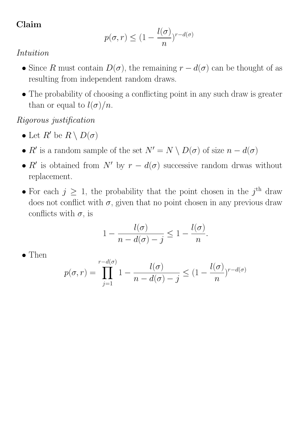### Claim

$$
p(\sigma, r) \le (1 - \frac{l(\sigma)}{n})^{r - d(\sigma)}
$$

#### Intuition

- Since R must contain  $D(\sigma)$ , the remaining  $r d(\sigma)$  can be thought of as resulting from independent random draws.
- The probability of choosing a conflicting point in any such draw is greater than or equal to  $l(\sigma)/n$ .

Rigorous justification

- Let  $R'$  be  $R \setminus D(\sigma)$
- R' is a random sample of the set  $N' = N \setminus D(\sigma)$  of size  $n d(\sigma)$
- R' is obtained from N' by  $r d(\sigma)$  successive random drwas without replacement.
- For each  $j \geq 1$ , the probability that the point chosen in the  $j^{\text{th}}$  draw does not conflict with  $\sigma$ , given that no point chosen in any previous draw conflicts with  $\sigma$ , is

$$
1 - \frac{l(\sigma)}{n - d(\sigma) - j} \leq 1 - \frac{l(\sigma)}{n}.
$$

• Then

$$
p(\sigma, r) = \prod_{j=1}^{r-d(\sigma)} 1 - \frac{l(\sigma)}{n-d(\sigma) - j} \le (1 - \frac{l(\sigma)}{n})^{r-d(\sigma)}
$$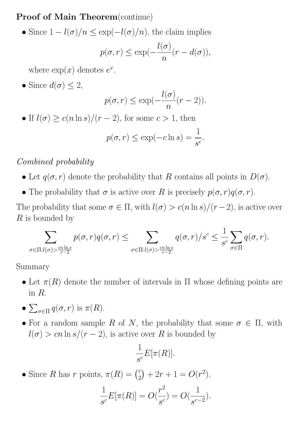Proof of Main Theorem(continue)

• Since  $1 - l(\sigma)/n \leq \exp(-l(\sigma)/n)$ , the claim implies  $p(\sigma, r) \leq \exp(-\sigma)$  $l(\sigma)$  $\overline{n}$  $(r - d(\sigma))$ ,

where  $\exp(x)$  denotes  $e^x$ .

• Since  $d(\sigma) \leq 2$ ,

$$
p(\sigma, r) \le \exp(-\frac{l(\sigma)}{n}(r-2)).
$$

• If  $l(\sigma) \geq c(n \ln s)/(r-2)$ , for some  $c > 1$ , then

$$
p(\sigma, r) \le \exp(-c \ln s) = \frac{1}{s^c}.
$$

#### Combined probability

- Let  $q(\sigma, r)$  denote the probability that R contains all points in  $D(\sigma)$ .
- The probability that  $\sigma$  is active over R is precisely  $p(\sigma, r)q(\sigma, r)$ .

The probability that some  $\sigma \in \Pi$ , with  $l(\sigma) > c(n \ln s)/(r-2)$ , is active over  $R$  is bounded by

$$
\sum_{\sigma \in \Pi: l(\sigma) > \frac{cn \ln s}{r-2}} p(\sigma, r) q(\sigma, r) \leq \sum_{\sigma \in \Pi: l(\sigma) > \frac{cn \ln s}{r-2}} q(\sigma, r) / s^c \leq \frac{1}{s^c} \sum_{\sigma \in \Pi} q(\sigma, r).
$$

Summary

- Let  $\pi(R)$  denote the number of intervals in  $\Pi$  whose defining points are in R.
- $\sum_{\sigma \in \Pi} q(\sigma, r)$  is  $\pi(R)$ .
- For a random sample R of N, the probability that some  $\sigma \in \Pi$ , with  $l(\sigma) > cn \ln s/(r-2)$ , is active over R is bounded by

$$
\frac{1}{s^c}E[\pi(R)].
$$

• Since R has r points,  $\pi(R) = \binom{r}{2}$  $\binom{r}{2} + 2r + 1 = O(r^2).$ 

$$
\frac{1}{s^{c}}E[\pi(R)] = O(\frac{r^{2}}{s^{c}}) = O(\frac{1}{s^{c-2}}).
$$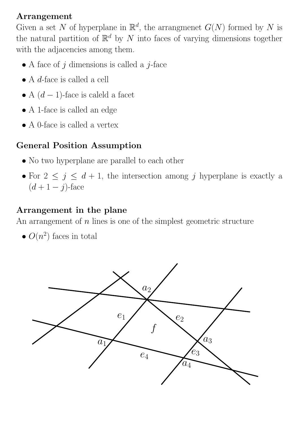#### Arrangement

Given a set N of hyperplane in  $\mathbb{R}^d$ , the arrangmenet  $G(N)$  formed by N is the natural partition of  $\mathbb{R}^d$  by N into faces of varying dimensions together with the adjacencies among them.

- A face of  $j$  dimensions is called a  $j$ -face
- A d-face is called a cell
- A  $(d-1)$ -face is caleld a facet
- A 1-face is called an edge
- A 0-face is called a vertex

### General Position Assumption

- No two hyperplane are parallel to each other
- For  $2 \leq j \leq d+1$ , the intersection among j hyperplane is exactly a  $(d+1-j)$ -face

### Arrangement in the plane

An arrangement of  $n$  lines is one of the simplest geometric structure

•  $O(n^2)$  faces in total

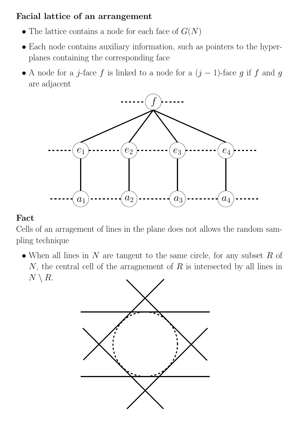### Facial lattice of an arrangement

- The lattice contains a node for each face of  $G(N)$
- Each node contains auxiliary information, such as pointers to the hyperplanes containing the corresponding face
- $\bullet$  A node for a  $j\text{-face } f$  is linked to a node for a  $(j-1)\text{-face } g$  if  $f$  and  $g$ are adjacent



#### Fact

Cells of an arragement of lines in the plane does not allows the random sampling technique

• When all lines in  $N$  are tangent to the same circle, for any subset  $R$  of  $N$ , the central cell of the arragnement of  $R$  is intersected by all lines in  $N \setminus R$ .

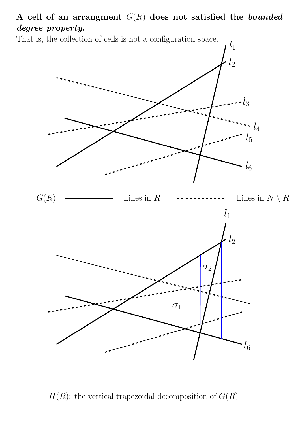A cell of an arrangment  $G(R)$  does not satisfied the *bounded* degree property.

That is, the collection of cells is not a configuration space.



 $H(R)$ : the vertical trapezoidal decomposition of  $G(R)$